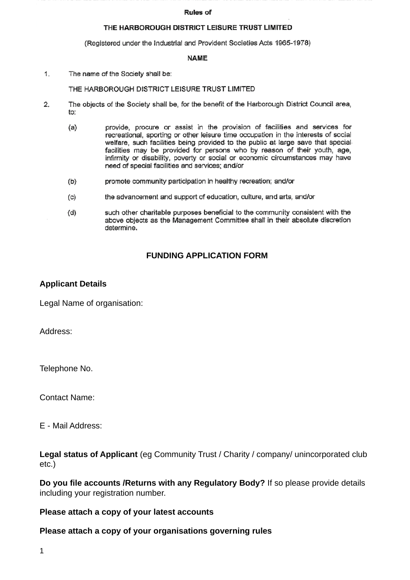#### **Rules of**

### THE HARBOROUGH DISTRICT LEISURE TRUST LIMITED

(Registered under the Industrial and Provident Societies Acts 1965-1978)

### **NAME**

 $1.$ The name of the Society shall be:

### THE HARBOROUGH DISTRICT LEISURE TRUST LIMITED

- 2. The objects of the Society shall be, for the benefit of the Harborough District Council area, to:
	- provide, procure or assist in the provision of facilities and services for  $(a)$ recreational, sporting or other leisure time occupation in the interests of social welfare, such facilities being provided to the public at large save that special facilities may be provided for persons who by reason of their youth, age, infirmity or disability, poverty or social or economic circumstances may have need of special facilities and services; and/or
	- $(b)$ promote community participation in healthy recreation; and/or
	- the advancement and support of education, culture, and arts, and/or  $(c)$
	- such other charitable purposes beneficial to the community consistent with the  $(d)$ above objects as the Management Committee shall in their absolute discretion determine.

## **FUNDING APPLICATION FORM**

## **Applicant Details**

Legal Name of organisation:

Address:

Telephone No.

Contact Name:

E - Mail Address:

**Legal status of Applicant** (eg Community Trust / Charity / company/ unincorporated club etc.)

**Do you file accounts /Returns with any Regulatory Body?** If so please provide details including your registration number.

## **Please attach a copy of your latest accounts**

## **Please attach a copy of your organisations governing rules**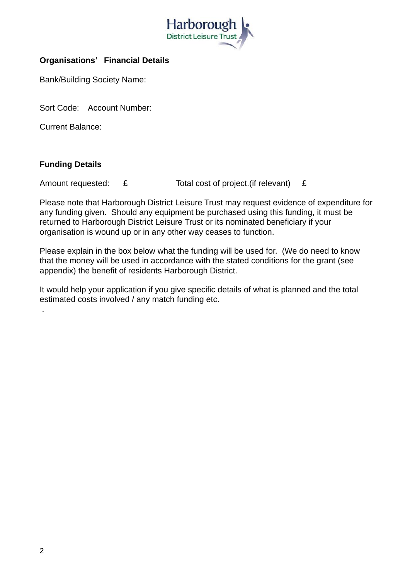

# **Organisations' Financial Details**

Bank/Building Society Name:

Sort Code: Account Number:

Current Balance:

# **Funding Details**

Amount requested: £ Total cost of project.(if relevant) £

Please note that Harborough District Leisure Trust may request evidence of expenditure for any funding given. Should any equipment be purchased using this funding, it must be returned to Harborough District Leisure Trust or its nominated beneficiary if your organisation is wound up or in any other way ceases to function.

Please explain in the box below what the funding will be used for. (We do need to know that the money will be used in accordance with the stated conditions for the grant (see appendix) the benefit of residents Harborough District.

It would help your application if you give specific details of what is planned and the total estimated costs involved / any match funding etc.

.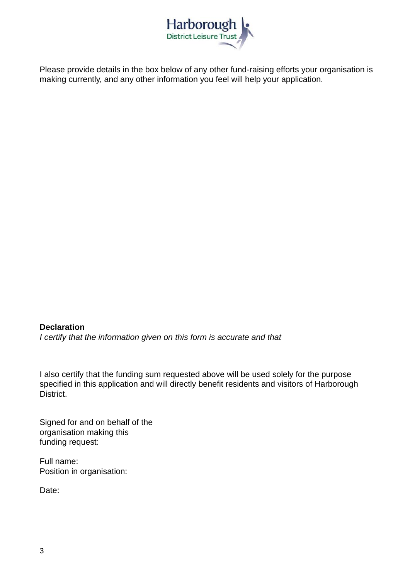

Please provide details in the box below of any other fund-raising efforts your organisation is making currently, and any other information you feel will help your application.

**Declaration** *I certify that the information given on this form is accurate and that*

I also certify that the funding sum requested above will be used solely for the purpose specified in this application and will directly benefit residents and visitors of Harborough District.

Signed for and on behalf of the organisation making this funding request:

Full name: Position in organisation:

Date: